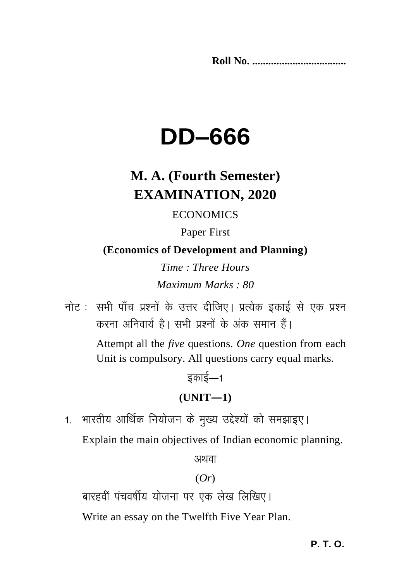**Roll No. ...................................** 

# **DD–666**

### **M. A. (Fourth Semester) EXAMINATION, 2020**

#### **ECONOMICS**

### Paper First

**(Economics of Development and Planning)**

*Time : Three Hours Maximum Marks : 80*

नोट : सभी पाँच प्रश्नों के उत्तर दीजिए। प्रत्येक इकाई से एक प्रश्न करना अनिवार्य है। सभी प्रश्नों के अंक समान हैं। Attempt all the *five* questions. *One* question from each Unit is compulsory. All questions carry equal marks.

### इकाई—1 **(UNIT—1)**

1. भारतीय आर्थिक नियोजन के मुख्य उद्देश्यों को समझाइए।

Explain the main objectives of Indian economic planning.

अथवा

### (*Or*)

बारहवीं पंचवर्षीय योजना पर एक लेख लिखिए।

Write an essay on the Twelfth Five Year Plan.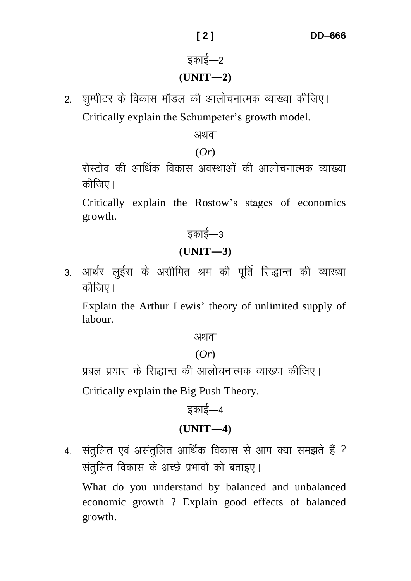## इकाई—2

### **(UNIT—2)**

2. शुम्पीटर के विकास मॉडल की आलोचनात्मक व्याख्या कीजिए। Critically explain the Schumpeter's growth model.

अथवा

(*Or*)

रोस्टोव की आर्थिक विकास अवस्थाओं की आलोचनात्मक व्याख्या कीजिए।

Critically explain the Rostow's stages of economics growth.

इकाई—3

### **(UNIT—3)**

3. आर्थर लुईस के असीमित श्रम की पूर्ति सिद्धान्त की व्याख्या कीजिए।

Explain the Arthur Lewis' theory of unlimited supply of labour.

अथवा

#### (*Or*)

प्रबल प्रयास के सिद्धान्त की आलोचनात्मक व्याख्या कीजिए।

Critically explain the Big Push Theory.

bdkbZ&4 **(UNIT—4)**

4. संतुलित एवं असंतुलित आर्थिक विकास से आप क्या समझते हैं ? संतुलित विकास के अच्छे प्रभावों को बताइए।

What do you understand by balanced and unbalanced economic growth ? Explain good effects of balanced growth.